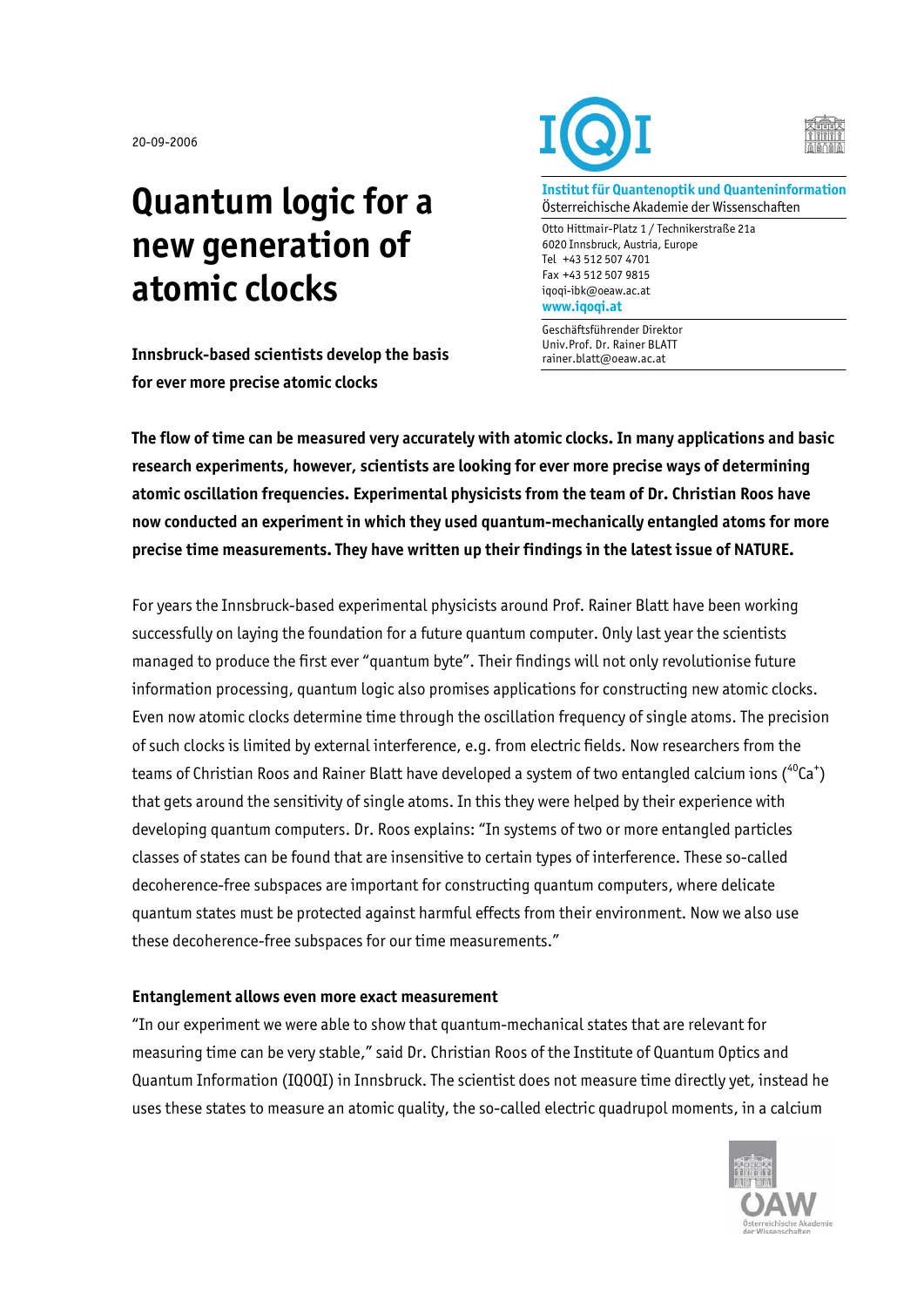20-09-2006

## **Quantum logic for a new generation of atomic clocks**

**Innsbruck-based scientists develop the basis for ever more precise atomic clocks** 





**Institut für Quantenoptik und Quanteninformation**  Österreichische Akademie der Wissenschaften

Otto Hittmair-Platz 1 / Technikerstraße 21a 6020 Innsbruck, Austria, Europe Tel +43 512 507 4701 Fax +43 512 507 9815 iqoqi-ibk@oeaw.ac.at **www.iqoqi.at** 

Geschäftsführender Direktor Univ.Prof. Dr. Rainer BLATT rainer.blatt@oeaw.ac.at

**The flow of time can be measured very accurately with atomic clocks. In many applications and basic research experiments, however, scientists are looking for ever more precise ways of determining atomic oscillation frequencies. Experimental physicists from the team of Dr. Christian Roos have now conducted an experiment in which they used quantum-mechanically entangled atoms for more precise time measurements. They have written up their findings in the latest issue of NATURE.** 

For years the Innsbruck-based experimental physicists around Prof. Rainer Blatt have been working successfully on laying the foundation for a future quantum computer. Only last year the scientists managed to produce the first ever "quantum byte". Their findings will not only revolutionise future information processing, quantum logic also promises applications for constructing new atomic clocks. Even now atomic clocks determine time through the oscillation frequency of single atoms. The precision of such clocks is limited by external interference, e.g. from electric fields. Now researchers from the teams of Christian Roos and Rainer Blatt have developed a system of two entangled calcium ions ( $\rm ^{40}Ca^{+})$ that gets around the sensitivity of single atoms. In this they were helped by their experience with developing quantum computers. Dr. Roos explains: "In systems of two or more entangled particles classes of states can be found that are insensitive to certain types of interference. These so-called decoherence-free subspaces are important for constructing quantum computers, where delicate quantum states must be protected against harmful effects from their environment. Now we also use these decoherence-free subspaces for our time measurements."

## **Entanglement allows even more exact measurement**

"In our experiment we were able to show that quantum-mechanical states that are relevant for measuring time can be very stable," said Dr. Christian Roos of the Institute of Quantum Optics and Quantum Information (IQOQI) in Innsbruck. The scientist does not measure time directly yet, instead he uses these states to measure an atomic quality, the so-called electric quadrupol moments, in a calcium